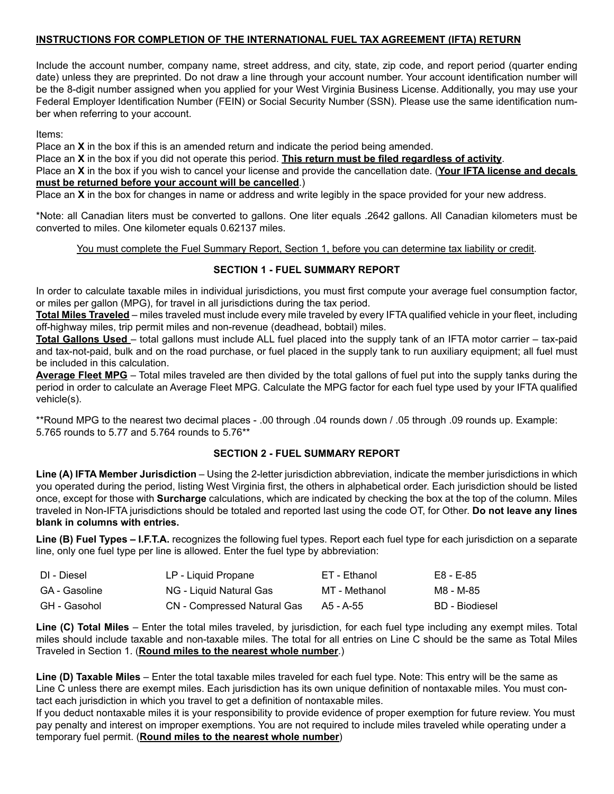# **INSTRUCTIONS FOR COMPLETION OF THE INTERNATIONAL FUEL TAX AGREEMENT (IFTA) RETURN**

Include the account number, company name, street address, and city, state, zip code, and report period (quarter ending date) unless they are preprinted. Do not draw a line through your account number. Your account identification number will be the 8-digit number assigned when you applied for your West Virginia Business License. Additionally, you may use your Federal Employer Identification Number (FEIN) or Social Security Number (SSN). Please use the same identification number when referring to your account.

Items:

Place an **X** in the box if this is an amended return and indicate the period being amended.

Place an **X** in the box if you did not operate this period. **This return must be filed regardless of activity**.

Place an **X** in the box if you wish to cancel your license and provide the cancellation date. (**Your IFTA license and decals must be returned before your account will be cancelled**.)

Place an **X** in the box for changes in name or address and write legibly in the space provided for your new address.

\*Note: all Canadian liters must be converted to gallons. One liter equals .2642 gallons. All Canadian kilometers must be converted to miles. One kilometer equals 0.62137 miles.

You must complete the Fuel Summary Report, Section 1, before you can determine tax liability or credit.

# **SECTION 1 - FUEL SUMMARY REPORT**

In order to calculate taxable miles in individual jurisdictions, you must first compute your average fuel consumption factor, or miles per gallon (MPG), for travel in all jurisdictions during the tax period.

**Total Miles Traveled** – miles traveled must include every mile traveled by every IFTA qualified vehicle in your fleet, including off-highway miles, trip permit miles and non-revenue (deadhead, bobtail) miles.

**Total Gallons Used** – total gallons must include ALL fuel placed into the supply tank of an IFTA motor carrier – tax-paid and tax-not-paid, bulk and on the road purchase, or fuel placed in the supply tank to run auxiliary equipment; all fuel must be included in this calculation.

**Average Fleet MPG** – Total miles traveled are then divided by the total gallons of fuel put into the supply tanks during the period in order to calculate an Average Fleet MPG. Calculate the MPG factor for each fuel type used by your IFTA qualified vehicle(s).

\*\*Round MPG to the nearest two decimal places - .00 through .04 rounds down / .05 through .09 rounds up. Example: 5.765 rounds to 5.77 and 5.764 rounds to 5.76\*\*

# **SECTION 2 - FUEL SUMMARY REPORT**

**Line (A) IFTA Member Jurisdiction** – Using the 2-letter jurisdiction abbreviation, indicate the member jurisdictions in which you operated during the period, listing West Virginia first, the others in alphabetical order. Each jurisdiction should be listed once, except for those with **Surcharge** calculations, which are indicated by checking the box at the top of the column. Miles traveled in Non-IFTA jurisdictions should be totaled and reported last using the code OT, for Other. **Do not leave any lines blank in columns with entries.**

Line (B) Fuel Types – I.F.T.A. recognizes the following fuel types. Report each fuel type for each jurisdiction on a separate line, only one fuel type per line is allowed. Enter the fuel type by abbreviation:

| DI - Diesel   | LP - Liquid Propane         | ET - Ethanol  | E8 - E-85      |
|---------------|-----------------------------|---------------|----------------|
| GA - Gasoline | NG - Liquid Natural Gas     | MT - Methanol | M8 - M-85      |
| GH - Gasohol  | CN - Compressed Natural Gas | - A5 - A-55   | BD - Biodiesel |

**Line (C) Total Miles** – Enter the total miles traveled, by jurisdiction, for each fuel type including any exempt miles. Total miles should include taxable and non-taxable miles. The total for all entries on Line C should be the same as Total Miles Traveled in Section 1. (**Round miles to the nearest whole number**.)

**Line (D) Taxable Miles** – Enter the total taxable miles traveled for each fuel type. Note: This entry will be the same as Line C unless there are exempt miles. Each jurisdiction has its own unique definition of nontaxable miles. You must contact each jurisdiction in which you travel to get a definition of nontaxable miles.

If you deduct nontaxable miles it is your responsibility to provide evidence of proper exemption for future review. You must pay penalty and interest on improper exemptions. You are not required to include miles traveled while operating under a temporary fuel permit. (**Round miles to the nearest whole number**)